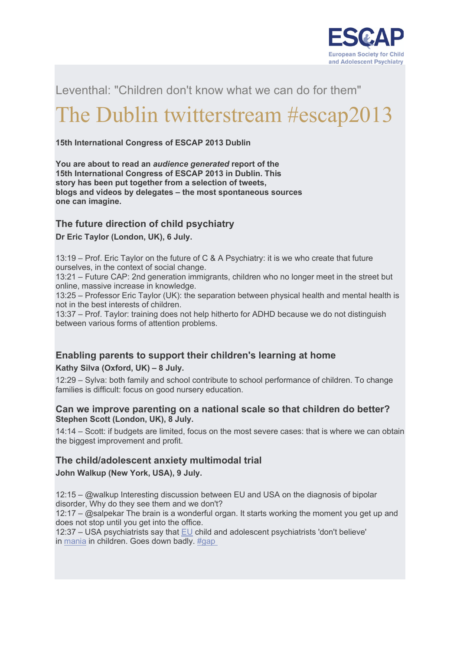

Leventhal: "Children don't know what we can do for them"

# The Dublin twitterstream #escap2013

**15th International Congress of ESCAP 2013 Dublin**

**You are about to read an** *audience generated* **report of the 15th International Congress of ESCAP 2013 in Dublin. This story has been put together from a selection of tweets, blogs and videos by delegates – the most spontaneous sources one can imagine.**

## **The future direction of child psychiatry**

**Dr Eric Taylor (London, UK), 6 July.**

13:19 – Prof. Eric Taylor on the future of C & A Psychiatry: it is we who create that future ourselves, in the context of social change.

13:21 – Future CAP: 2nd generation immigrants, children who no longer meet in the street but online, massive increase in knowledge.

13:25 – Professor Eric Taylor (UK): the separation between physical health and mental health is not in the best interests of children.

13:37 – Prof. Taylor: training does not help hitherto for ADHD because we do not distinguish between various forms of attention problems.

# **Enabling parents to support their children's learning at home**

**Kathy Silva (Oxford, UK) – 8 July.**

12:29 – Sylva: both family and school contribute to school performance of children. To change families is difficult: focus on good nursery education.

#### **Can we improve parenting on a national scale so that children do better? Stephen Scott (London, UK), 8 July.**

14:14 – Scott: if budgets are limited, focus on the most severe cases: that is where we can obtain the biggest improvement and profit.

## **The child/adolescent anxiety multimodal trial**

**John Walkup (New York, USA), 9 July.**

12:15 – @walkup Interesting discussion between EU and USA on the diagnosis of bipolar disorder, Why do they see them and we don't?

12:17 – @salpekar The brain is a wonderful organ. It starts working the moment you get up and does not stop until you get into the office.

12:37 – USA psychiatrists say that [EU](http://www.nice.org.uk/guidance/index.jsp?action=byID&o=10990) child and adolescent psychiatrists 'don't believe' in [mania](http://www.awmf.org/leitlinien/detail/ll/028-004.html) in children. Goes down badly. [#gap](http://www.plosone.org/article/info%3Adoi%2F10.1371%2Fjournal.pone.0069459)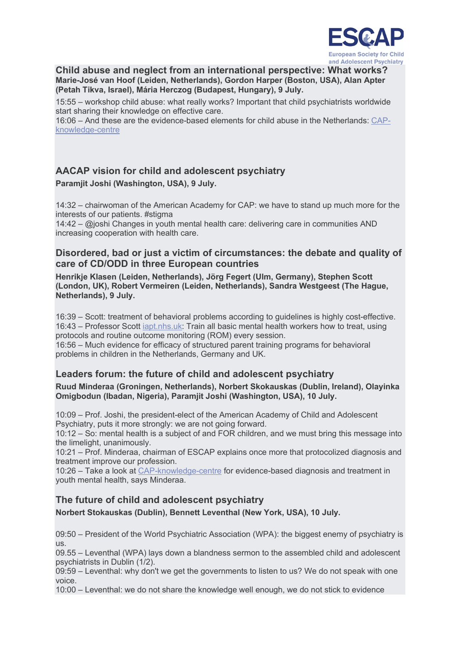

#### **Child abuse and neglect from an international perspective: What works? Marie-José van Hoof (Leiden, Netherlands), Gordon Harper (Boston, USA), Alan Apter (Petah Tikva, Israel), Mária Herczog (Budapest, Hungary), 9 July.**

15:55 – workshop child abuse: what really works? Important that child psychiatrists worldwide start sharing their knowledge on effective care.

16:06 – And these are the evidence-based elements for child abuse in the Netherlands: [CAP](http://www.kenniscentrum-kjp.nl/en/professionals/Disorders/Trauma-and-child-abuse/What-is-trauma-and-child-abuse/Background#.UkWt92RHAVw)[knowledge-centre](http://www.kenniscentrum-kjp.nl/en/professionals/Disorders/Trauma-and-child-abuse/What-is-trauma-and-child-abuse/Background#.UkWt92RHAVw)

# **AACAP vision for child and adolescent psychiatry**

### **Paramjit Joshi (Washington, USA), 9 July.**

14:32 – chairwoman of the American Academy for CAP: we have to stand up much more for the interests of our patients. #stigma

14:42 – @joshi Changes in youth mental health care: delivering care in communities AND increasing cooperation with health care.

## **Disordered, bad or just a victim of circumstances: the debate and quality of care of CD/ODD in three European countries**

**Henrikje Klasen (Leiden, Netherlands), Jörg Fegert (Ulm, Germany), Stephen Scott (London, UK), Robert Vermeiren (Leiden, Netherlands), Sandra Westgeest (The Hague, Netherlands), 9 July.**

16:39 – Scott: treatment of behavioral problems according to guidelines is highly cost-effective. 16:43 – Professor Scott [iapt.nhs.uk:](http://www.iapt.nhs.uk/about-iapt) Train all basic mental health workers how to treat, using protocols and routine outcome monitoring (ROM) every session.

16:56 – Much evidence for efficacy of structured parent training programs for behavioral problems in children in the Netherlands, Germany and UK.

# **Leaders forum: the future of child and adolescent psychiatry**

#### **Ruud Minderaa (Groningen, Netherlands), Norbert Skokauskas (Dublin, Ireland), Olayinka Omigbodun (Ibadan, Nigeria), Paramjit Joshi (Washington, USA), 10 July.**

10:09 – Prof. Joshi, the president-elect of the American Academy of Child and Adolescent Psychiatry, puts it more strongly: we are not going forward.

10:12 – So: mental health is a subject of and FOR children, and we must bring this message into the limelight, unanimously.

10:21 – Prof. Minderaa, chairman of ESCAP explains once more that protocolized diagnosis and treatment improve our profession.

10:26 – Take a look at [CAP-knowledge-centre](http://www.kenniscentrum-kjp.nl/en) for evidence-based diagnosis and treatment in youth mental health, says Minderaa.

# **The future of child and adolescent psychiatry Norbert Stokauskas (Dublin), Bennett Leventhal (New York, USA), 10 July.**

09:50 – President of the World Psychiatric Association (WPA): the biggest enemy of psychiatry is  $IIS$ .

09.55 – Leventhal (WPA) lays down a blandness sermon to the assembled child and adolescent psychiatrists in Dublin (1/2).

09:59 – Leventhal: why don't we get the governments to listen to us? We do not speak with one voice.

10:00 – Leventhal: we do not share the knowledge well enough, we do not stick to evidence